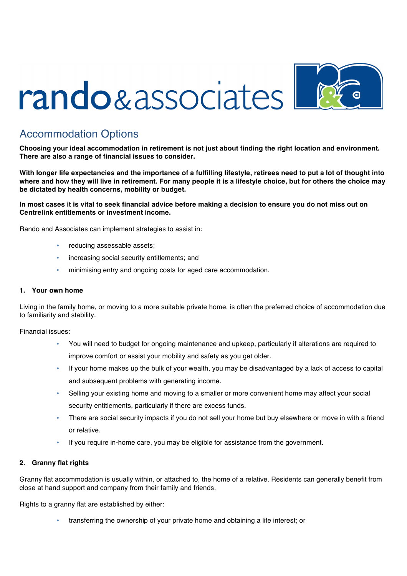# rando & associates



# Accommodation Options

**Choosing your ideal accommodation in retirement is not just about finding the right location and environment. There are also a range of financial issues to consider.**

**With longer life expectancies and the importance of a fulfilling lifestyle, retirees need to put a lot of thought into where and how they will live in retirement. For many people it is a lifestyle choice, but for others the choice may be dictated by health concerns, mobility or budget.**

# **In most cases it is vital to seek financial advice before making a decision to ensure you do not miss out on Centrelink entitlements or investment income.**

Rando and Associates can implement strategies to assist in:

- reducing assessable assets;
- increasing social security entitlements; and
- minimising entry and ongoing costs for aged care accommodation.

#### **1. Your own home**

Living in the family home, or moving to a more suitable private home, is often the preferred choice of accommodation due to familiarity and stability.

Financial issues:

- You will need to budget for ongoing maintenance and upkeep, particularly if alterations are required to improve comfort or assist your mobility and safety as you get older.
- If your home makes up the bulk of your wealth, you may be disadvantaged by a lack of access to capital and subsequent problems with generating income.
- Selling your existing home and moving to a smaller or more convenient home may affect your social security entitlements, particularly if there are excess funds.
- There are social security impacts if you do not sell your home but buy elsewhere or move in with a friend or relative.
- If you require in-home care, you may be eligible for assistance from the government.

## **2. Granny flat rights**

Granny flat accommodation is usually within, or attached to, the home of a relative. Residents can generally benefit from close at hand support and company from their family and friends.

Rights to a granny flat are established by either:

• transferring the ownership of your private home and obtaining a life interest; or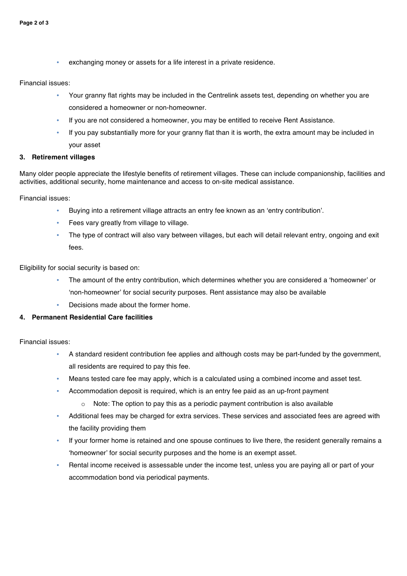exchanging money or assets for a life interest in a private residence.

#### Financial issues:

- Your granny flat rights may be included in the Centrelink assets test, depending on whether you are considered a homeowner or non-homeowner.
- If you are not considered a homeowner, you may be entitled to receive Rent Assistance.
- If you pay substantially more for your granny flat than it is worth, the extra amount may be included in your asset

#### **3. Retirement villages**

Many older people appreciate the lifestyle benefits of retirement villages. These can include companionship, facilities and activities, additional security, home maintenance and access to on-site medical assistance.

Financial issues:

- Buying into a retirement village attracts an entry fee known as an 'entry contribution'.
- Fees vary greatly from village to village.
- The type of contract will also vary between villages, but each will detail relevant entry, ongoing and exit fees.

Eligibility for social security is based on:

- The amount of the entry contribution, which determines whether you are considered a 'homeowner' or 'non-homeowner' for social security purposes. Rent assistance may also be available
- Decisions made about the former home.

## **4. Permanent Residential Care facilities**

Financial issues:

- A standard resident contribution fee applies and although costs may be part-funded by the government, all residents are required to pay this fee.
- Means tested care fee may apply, which is a calculated using a combined income and asset test.
- Accommodation deposit is required, which is an entry fee paid as an up-front payment
	- $\circ$  Note: The option to pay this as a periodic payment contribution is also available
- Additional fees may be charged for extra services. These services and associated fees are agreed with the facility providing them
- If your former home is retained and one spouse continues to live there, the resident generally remains a 'homeowner' for social security purposes and the home is an exempt asset.
- Rental income received is assessable under the income test, unless you are paying all or part of your accommodation bond via periodical payments.